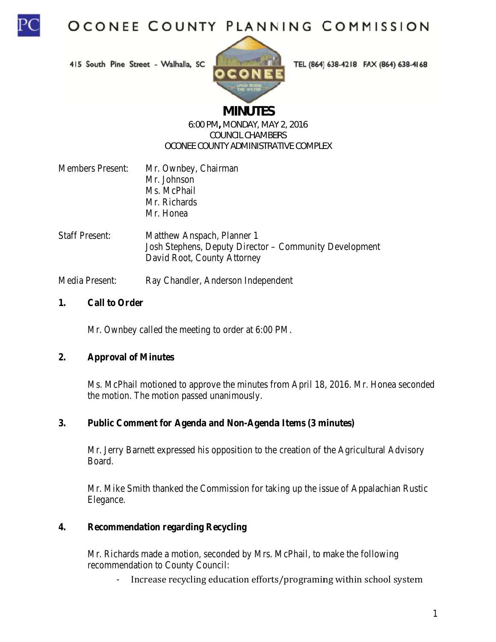

415 South Pine Street - Walhalla, SC



TEL (864) 638-4218 FAX (864) 638-4168

# **MINUTES**

#### 6:00 PM, MONDAY, MAY 2, 2016 **COUNCIL CHAMBERS OCONEE COUNTY ADMINISTRATIVE COMPLEX**

| <b>Members Present:</b>            | Mr. Ownbey, Chairman      |  |
|------------------------------------|---------------------------|--|
|                                    | Mr. Johnson               |  |
|                                    | Ms. McPhail               |  |
|                                    | Mr. Richards              |  |
|                                    | Mr. Honea                 |  |
| $\mathsf{C}\mathsf{taff}$ Present: | Matthew Anenach Planner 1 |  |

Josh Stephens, Deputy Director - Community Development David Root, County Attorney

Media Present: Ray Chandler, Anderson Independent

#### $1.$ **Call to Order**

Mr. Ownbey called the meeting to order at 6:00 PM.

#### $2.$ **Approval of Minutes**

Ms. McPhail motioned to approve the minutes from April 18, 2016. Mr. Honea seconded the motion. The motion passed unanimously.

#### $3.$ **Public Comment for Agenda and Non-Agenda Items (3 minutes)**

Mr. Jerry Barnett expressed his opposition to the creation of the Agricultural Advisory Board.

Mr. Mike Smith thanked the Commission for taking up the issue of Appalachian Rustic Elegance.

#### $\overline{4}$ . **Recommendation regarding Recycling**

Mr. Richards made a motion, seconded by Mrs. McPhail, to make the following recommendation to County Council:

Increase recycling education efforts/programing within school system  $\mathbb{L}^{\mathbb{N}}$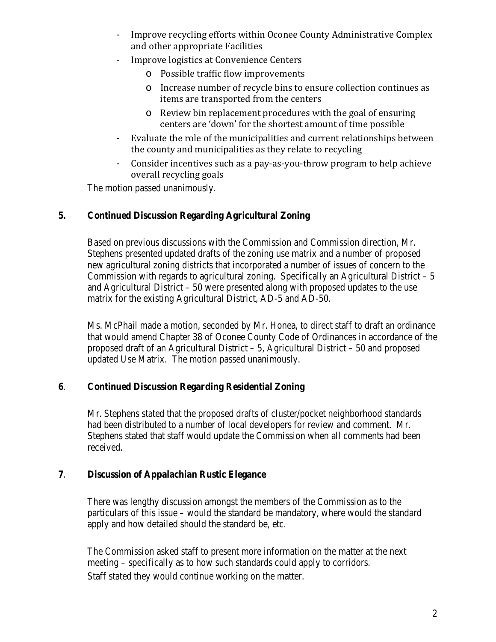- Improve recycling efforts within Oconee County Administrative Complex and other appropriate Facilities
- Improve logistics at Convenience Centers
	- o Possible traffic flow improvements
	- $\circ$  Increase number of recycle bins to ensure collection continues as items are transported from the centers
	- $\circ$  Review bin replacement procedures with the goal of ensuring centers are 'down' for the shortest amount of time possible
- Evaluate the role of the municipalities and current relationships between the county and municipalities as they relate to recycling
- Consider incentives such as a pay-as-you-throw program to help achieve overall recycling goals

The motion passed unanimously.

### **5. Continued Discussion Regarding Agricultural Zoning**

Based on previous discussions with the Commission and Commission direction, Mr. Stephens presented updated drafts of the zoning use matrix and a number of proposed new agricultural zoning districts that incorporated a number of issues of concern to the Commission with regards to agricultural zoning. Specifically an Agricultural District  $-5$ and Agricultural District – 50 were presented along with proposed updates to the use matrix for the existing Agricultural District, AD-5 and AD-50.

Ms. McPhail made a motion, seconded by Mr. Honea, to direct staff to draft an ordinance that would amend Chapter 38 of Oconee County Code of Ordinances in accordance of the proposed draft of an Agricultural District – 5, Agricultural District – 50 and proposed updated Use Matrix. The motion passed unanimously.

### **6**. **Continued Discussion Regarding Residential Zoning**

Mr. Stephens stated that the proposed drafts of cluster/pocket neighborhood standards had been distributed to a number of local developers for review and comment. Mr. Stephens stated that staff would update the Commission when all comments had been received.

### **7**. **Discussion of Appalachian Rustic Elegance**

There was lengthy discussion amongst the members of the Commission as to the particulars of this issue – would the standard be mandatory, where would the standard apply and how detailed should the standard be, etc.

The Commission asked staff to present more information on the matter at the next meeting – specifically as to how such standards could apply to corridors. Staff stated they would continue working on the matter.